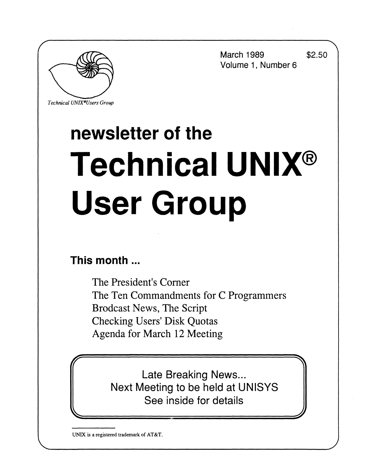March 1989 \$2.50 Volume 1, Number 6



*Technical UNIX°Users Group* 

# **newsletter of the Technical UNIX® User Group**

## **This month...**

**f**

The President's Corner The Ten Commandments for C Programmers Brodcast News, The Script Checking Users' Disk Quotas Agenda for March 12 Meeting

**<sup>=</sup> ! — ^**  Late Breaking News... Next Meeting to be held at UNISYS See inside for details

UNIX is a registered trademark of AT&T.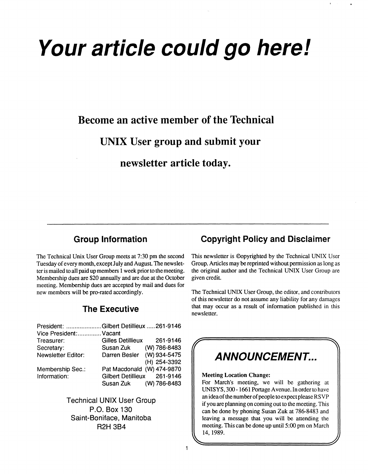## **Your article could go here!**

**Become an active member of the Technical** 

**UNIX User group and submit your** 

**newsletter article today.** 

#### **Group Information**

The Technical Unix User Group meets at 7:30 pm the second Tuesday of every month, except July and August. The newsletter is mailed to all paid up members 1 week prior to the meeting. Membership dues are \$20 annually and are due at the October meeting. Membership dues are accepted by mail and dues for new members will be pro-rated accordingly.

#### **The Executive**

| President: Gilbert Detillieux 261-9146 |                             |          |              |
|----------------------------------------|-----------------------------|----------|--------------|
| Vice President: Vacant                 |                             |          |              |
| Treasurer:                             | <b>Gilles Detillieux</b>    | 261-9146 |              |
| Secretary:                             | Susan Zuk (W) 786-8483      |          |              |
| Newsletter Editor:                     | Darren Besler (W) 934-5475  |          |              |
|                                        |                             |          | (H) 254-3392 |
| Membership Sec.:                       | Pat Macdonald (W) 474-9870  |          |              |
| Information:                           | Gilbert Detillieux 261-9146 |          |              |
|                                        | Susan Zuk (W) 786-8483      |          |              |
|                                        |                             |          |              |

Technical UNIX User Group P.O. Box 130 Saint-Boniface, Manitoba R2H 3B4

#### **Copyright Policy and Disclaimer**

This newsletter is ©opyrighted by the Technical UNIX User Group. Articles may be reprinted without permission as long as the original author and the Technical UNIX User Group are given credit.

The Technical UNIX User Group, the editor, and contributors of this newsletter do not assume any liability for any damages that may occur as a result of information published in this newsletter.

## **r <sup>A</sup>ANNOUNCEMENT...**

#### **Meeting Location Change:**

For March's meeting, we will be gathering at UNISYS, 300-1661 Portage Avenue. In order to have an idea of the number of people to expect please RS VP if you are planning on coming out to the meeting. This can be done by phoning Susan Zuk at 786-8483 and leaving a message that you will be attending the meeting. This can be done up until 5:00 pm on March 14, 1989.

**v**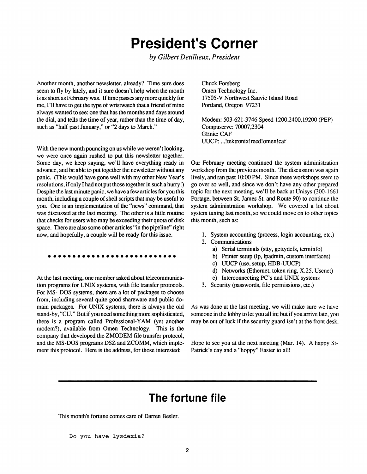## **President's Corner**

*by Gilbert Detillieux, President* 

**Another month, another newsletter, already? Time sure does seem to fly by lately, and it sure doesn't help when the month is as short as February was. If time passes any more quickly for me, I'll have to get the type of wristwatch that a friend of mine always wanted to see: one that has the months and days around the dial, and tells the time of year, rather than the time of day, such as "half past January," or "2 days to March."** 

**With the new month pouncing on us while we weren't looking, we were once again rushed to put this newsletter together. Some day, we keep saying, we'll have everything ready in advance, and be able to put together the newsletter without any panic. (This would have gone well with my other New Year's resolutions, if only I had not put those together in such a hurry!) Despite the last minute panic, we have a few articles for you this month, including a couple of shell scripts that may be useful to you. One is an implementation of the "news" command, that was discussed at the last meeting. The other is a little routine that checks for users who may be exceeding their quota of disk space. There are also some other articles "in the pipeline" right now, and hopefully, a couple will be ready for this issue.** 

#### . . . . . . . . . . . . . . . . .

**At the last meeting, one member asked about telecommunication programs for UNIX systems, with file transfer protocols. For MS- DOS systems, there are a lot of packages to choose from, including several quite good shareware and public domain packages. For UNIX systems, there is always the old stand-by, "CU." But if you need something more sophisticated, there is a program called Professional-YAM (yet another modem?), available from Omen Technology. This is the company that developed the ZMODEM file transfer protocol, and the MS-DOS programs DSZ and ZCOMM, which implement this protocol. Here is the address, for those interested:** 

**Chuck Forsberg Omen Technology Inc. 17505-V Northwest Sauvie Island Road Portland, Oregon 97231** 

**Modem: 503-621-3746 Speed 1200,2400,19200 (PEP) CompuServe: 70007,2304 GEnie: CAF UUCP: ...!tektronix!reed!omen!caf** 

**Our February meeting continued the system administration workshop from the previous month. The discussion was again lively, and ran past 10:00 PM. Since these workshops seem to go over so well, and since we don't have any other prepared topic for the next meeting, we'll be back at Unisys (300-1661 Portage, between St. James St. and Route 90) to continue the system administration workshop. We covered a lot about system tuning last month, so we could move on to other topics this month, such as:** 

- **1. System accounting (process, login accounting, etc.)**
- **2. Communications** 
	- **a) Serial terminals (stty, gettydefs, terminfo)**
	- **b) Printer setup (lp, lpadmin, custom interfaces)**
	- **c) UUCP (use, setup, HDB-UUCP)**
	- **d) Networks (Ethernet, token ring, X.25, Usenet)**
	- **e) Interconnecting PC's and UNIX systems**
- **3. Security (passwords, file permissions, etc.)**

**As was done at the last meeting, we will make sure we have someone in the lobby to let you all in; but if you arrive late, you may be out of luck if the security guard isn't at the front desk.** 

**Hope to see you at the next meeting (Mar. 14). A happy St-Patrick's day and a "hoppy" Easter to all!** 

## **The fortune file**

**This month's fortune comes care of Darren Besler.** 

Do you have lysdexia?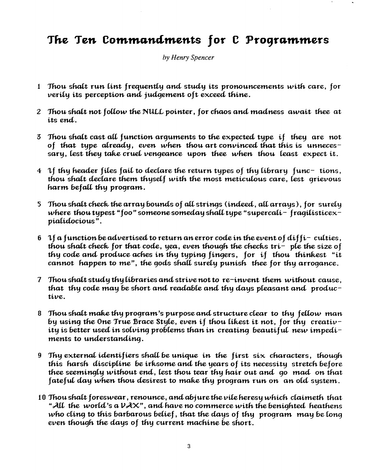## **The Ten** *Commandments for* **C** *Programmers*

*by Henry Spencer* 

- **1 Thou** *shalt run lint frequently and study* **its** *pronouncements with care, for verily its perception and judgement* **oft exceed** *thine.*
- *2 Thou shalt not foilow the NULL pointer,* **for** *chaos and madness await thee at*  **its** *end.*
- **3** *Thou shalt cast all junction arguments to the eyjpected* **type if** *they are not of* **that type** *already, even when thou art convinced that this is unnecessary, lest they take cruel vengeance upon thee when thou least expect it.*
- **4 Xf** *thy header files fail to declare the return types of thy* **Cibrary** *func-* **tions, thou** *shalt declare them thyself with the most meticulous care, lest grievous harm befall thy program.*
- **5** *Thou shalt check the array bounds* **of** *ail* **strings** *(indeed, ail* **arrays), for** *surely*  where thou typest "foo" someone someday shall type "supercali – fragilisticex – *pialidocious* **".**
- **6** *\f a function be advertised to return an error code in the event* **of** *diffi-* **cutties,**  thou shalt check for that code, yea, even though the checks  $tri-$  ple the size of thy code and produce aches in thy typing fingers, for if thou thinkest "it *cannot happen to me", the gods shad surely* **punish thee for thy** *arrogance.*
- **7 Thou** *shalt study thy libraries and* **strive not to** *re-invent them without* **cause, that thy code may be short** *and readable and thy days pleasant and productive.*
- **8 Thou** *shalt make thy program's* **purpose** *and structure clear to thy fellow man*  bu using the One True Brace Style, even if thou likest it not, for thy creativ**ity is** *better used in* **soDving** *problems than in* **creating** *beautiful new impediments to understanding.*
- **9 Thy** *external* **identifiers** *shall be unique in the* **first si x** *characters***,** *though this* **harsh** *discipline be irksome and the years of its necessity stretch before thee seemingly without end, lest thou tear thy hair out and go mad on that fateful day when thou* **desirest to** *make thy* **program run** *on an old* **system.**
- **10** *Thou shalt foreswear, renounce, and abjure the vile heresy which claimeth that "\*AIl the* **world's a IM.X",** *and have no commerce with the benighted heathens who cling to* **this barbarous** *belief, that the days of thy program may be long even though the days* **of thy** *current machine be* **short.**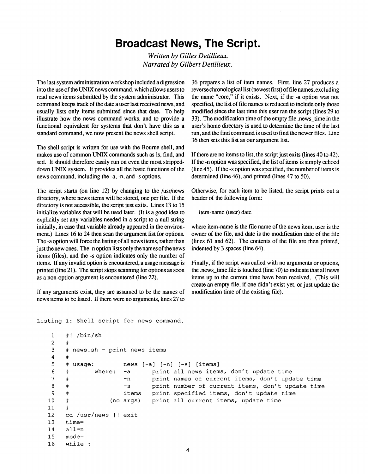## **Broadcast News, The Script.**

*Written by Gilles Detillieux. Narrated by Gilbert Detillieux.* 

**The last system administration workshop included a digression into the use of the UNIX news command, which allows users to read news items submitted by the system administrator. This command keeps track of the date a user last received news, and usually lists only items submitted since that date. To help illustrate how the news command works, and to provide a functional equivalent for systems that don't have this as a standard command, we now present the news shell script.** 

**The shell script is written for use with the Bourne shell, and makes use of common UNIX commands such as Is, find, and sed. It should therefore easily run on even the most strippeddown UNIX system. It provides all the basic functions of the news command, including the -a, -n, and -s options.** 

**The script starts (on line 12) by changing to the /usr/news directory, where news items will be stored, one per file. If the directory is not accessible, the script just exits. Lines 13 to 15 initialize variables that will be used later. (It is a good idea to explicitly set any variables needed in a script to a null string initially, in case that variable already appeared in the environment.) Lines 16 to 24 then scan the argument list for options. The -a option will force the listing of all news items, rather than just the new ones. The -n option lists only the names of the news items (files), and the -s option indicates only the number of items. If any invalid option is encountered, a usage message is printed (line 21). The script stops scanning for options as soon as a non-option argument is encountered (line 22).** 

**If any arguments exist, they are assumed to be the names of news items to be listed. If there were no arguments, lines 27 to**  **36 prepares a list of item names. First, line 27 produces a reverse chronological list (newest first) of file names, excluding the name "core," if it exists. Next, if the -a option was not specified, the list of file names is reduced to include only those modified since the last time this user ran the script (lines 29 to 33). The modification time of the empty file .news\_time in the user's home directory is used to determine the time of the last run, and the find command is used to find the newer files. Line 36 then sets this list as our argument list.** 

**If there are no items to list, the script just exits (lines 40 to 42). If the -n option was specified, the list of items is simply echoed (line 45). If the -s option was specified, the number of items is determined (line 46), and printed (lines 47 to 50).** 

**Otherwise, for each item to be listed, the script prints out a header of the following form:** 

**item-name (user) date** 

**where item-name is the file name of the news item, user is the owner of the file, and date is the modification date of the file (lines 61 and 62). The contents of the file are then printed, indented by 3 spaces (line 64).** 

**Finally, if the script was called with no arguments or options,**  the news time file is touched (line 70) to indicate that all news **items up to the current time have been received. (This will create an empty file, if one didn't exist yet, or just update the modification time of the existing file).** 

Listing 1: Shell script for news command.

```
1 
 2 
 3 
 4 
 5 
 6 
 7 
 8 
 9 
10 
11 
12 
13 
14 
15 
16 
     #! /bin/sh 
     # 
     # news.sh - print news items 
     # 
     # usage: 
     # where 
     # 
     # 
     # 
     # 
     # 
     cd /usr/news || exit
     time= 
     all=n 
     mode= 
     while : 
                        news [-a] [-n] [-s] [items] 
                        -a 
                        -n 
                        -Sitems 
                    (no args) 
                                 print all news items, don't update time 
                                 print names of current items, don't update time 
                                 print number of current items, don't update time 
                                 print specified items, don't update time 
                                 print all current items, update time
```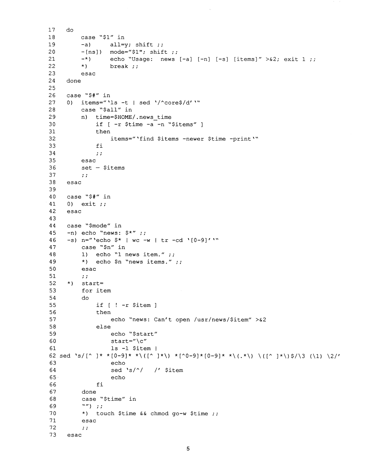```
17 do 
       case "$1" in
18 
19 -a) all=y; shift ;;
20 -[ns]) mode="$l"; shift ;; 
21 -*) echo "Usage: news [-a] [-n] [-s] [items]" > \&2; exit 1 ;;
22 \star) break ;;
23 esac 
24 done 
25 
26 case "$#" in 
27 0) items="'ls -t | sed '/^core$/d''"
28 case "$all" in 
29 n) time=$HOME/.news time
30 if [ -r $time -a -n "$items" ] 
31 then 
32 items="'find $items -newer $time -print'"
33 fi 
34 
           \mathcal{V}35 esac 
36 set — $items 
37 
       \mathcal{L}38 esac 
39 
40 case "$#" in 
41 0) exit ;; 
42 esac 
43 
44 case "$mode" in 
45 -n) echo "news: $*" ;; 
46 -s) n = "N \cdot \text{echo } $* | \text{wc} - w | \text{tr} - cd | [0-9]' \cdot \text{w}47 case "$n" in 
48 1) echo "1 news item." ;; 
49 *) echo $n "news items." ;;
50 esac 
51 
       \mathcal{L}(\mathcal{L})52 \star) start=
53 for item 
54 do 
55 if [ ! -r $item ] 
56 then 
57 echo "news: Can't open /usr/news/$item" >&2 
           else
59 echo "$start" 
60 start="\c"61 Is -1 $item | 
62 sed 's/[^ ]* *[0-9]* *\([^ ]*\) *[^0-9]*[0-9]* *\(.*\) \([^ ]*\)$/\3 (\1) \2/'
63 echo 
64 sed 's/^/ /' $item
65 echo 
66 fi 
67 done 
68 case "$time" in 
69 "") ;; 
70 *) touch $time && chmod go-w $time ;; 
71 esac 
72 
        \mathcal{L}73 esac
```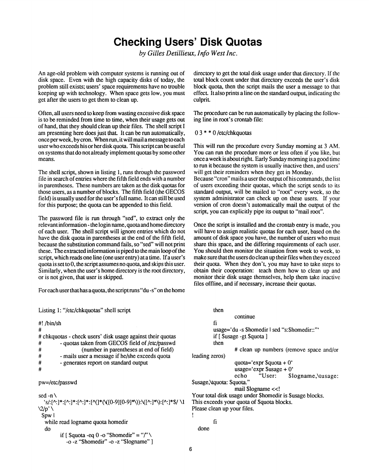## **Checking Users' Disk Quotas**

*by Gilles Detillieux, Info West Inc.* 

An age-old problem with computer systems is running out of disk space. Even with the high capacity disks of today, the problem still exists; users' space requirements have no trouble keeping up with technology. When space gets low, you must get after the users to get them to clean up.

Often, all users need to keep from wasting excessive disk space is to be reminded from time to time, when their usage gets out of hand, that they should clean up their files. The shell script I am presenting here does just that. It can be run automatically, once per week, by cron. When run, it will mail a message to each user who exceeds his or her disk quota. This script can be useful on systems that do not already implement quotas by some other means.

The shell script, shown in listing 1, runs through the password file in search of entries where the fifth field ends with a number in parentheses. These numbers are taken as the disk quotas for those users, as a number of blocks. The fifth field (the GECOS field) is usually used for the user's full name. It can still be used for this purpose; the quota can be appended to this field.

The password file is run through "sed", to extract only the relevant information - the login name, quota and home directory of each user. The shell script will ignore entries which do not have the disk quota in parentheses at the end of the fifth field, because the substitution command fails, so "sed" will not print these. The extracted information is piped to the main loop of the script, which reads one line (one user entry) at a time. If a user's quota is set to 0, the script assumes no quota, and skips this user. Similarly, when the user's home directory is the root directory, or is not given, that user is skipped.

For each user that has a quota, the script runs "du -s" on the home

Listing 1: "/etc/chkquotas" shell script

| #! $\frac{\text{bin}}{\text{sin}}$ |                                                            |
|------------------------------------|------------------------------------------------------------|
| #                                  |                                                            |
|                                    | # chkquotas - check users' disk usage against their quotas |
| #                                  | - quotas taken from GECOS field of /etc/passwd             |
| #                                  | (number in parentheses at end of field)                    |
| #                                  | - mails user a message if he/she exceeds quota             |
| #                                  | - generates report on standard output                      |
| #                                  |                                                            |
| pw=/etc/passwd                     |                                                            |

sed -n  $\setminus$ 's/:[^:]\*:[^:]\*:[^:]\*:[^(]\*(\([0-9][0-9]\*\)):\([^:]\*\):[^:]\*\$/ \1  $\2/p'$ \$pwl while read logname quota homedir do if  $\int$  Squota -eq 0 -o "Shomedir" = "/" \ -o -z "Shomedir" -o -z "Slogname" ]

directory to get the total disk usage under that directory. If the total block count under that directory exceeds the user's disk block quota, then the script mails the user a message to that effect. It also prints a line on the standard output, indicating the culprit

The procedure can be run automatically by placing the following line in root's crontab file:

#### 0 3\*\* 0 /etc/chkquotas

This will run the procedure every Sunday morning at 3 AM. You can run the procedure more or less often if you like, but once a week is about right. Early Sunday morning is a good time to run it because the system is usually inactive then, and users' will get their reminders when they get in Monday.

Because "cron" mails a user the output of his commands, the list of users exceeding their quotas, which the script sends to its standard output, will be mailed to "root" every week, so the system administrator can check up on these users. If your version of cron doesn't automatically mail the output of the script, you can explicitly pipe its output to "mail root".

Once the script is installed and the crontab entry is made, you will have to assign realistic quotas for each user, based on the amount of disk space you have, the number of users who must share this space, and the differing requirements of each user. You should then monitor the situation from week to week, to make sure that the users do clean up their files when they exceed their quota. When they don't, you may have to take steps to obtain their cooperation: teach them how to clean up and monitor their disk usage themselves, help them take inactive files offline, and if necessary, increase their quotas.

| then                       |                                            |                                 |                                                          |
|----------------------------|--------------------------------------------|---------------------------------|----------------------------------------------------------|
|                            | continue                                   |                                 |                                                          |
| fi                         |                                            |                                 |                                                          |
|                            |                                            |                                 | usage='du -s \$homedir   sed "s:\$homedir::""            |
|                            | if [ \$usage -gt \$quota ]                 |                                 |                                                          |
| then                       |                                            |                                 |                                                          |
|                            |                                            |                                 | # clean up numbers (remove space and/or                  |
| leading zeros)             |                                            |                                 |                                                          |
|                            |                                            | quota='expr \$quota + $0'$      |                                                          |
|                            |                                            | usage='expr $s$ usage + 0'      |                                                          |
|                            |                                            |                                 | echo "User: \$logname, \tusage:                          |
| Susage, \tquota: \$quota." |                                            |                                 |                                                          |
|                            |                                            | mail \$logname < </td <td></td> |                                                          |
|                            |                                            |                                 | Your total disk usage under \$homedir is \$usage blocks. |
|                            | This exceeds your quota of \$quota blocks. |                                 |                                                          |
|                            | Please clean up your files.                |                                 |                                                          |
| ţ                          |                                            |                                 |                                                          |
| fi                         |                                            |                                 |                                                          |
| done                       |                                            |                                 |                                                          |
|                            |                                            |                                 |                                                          |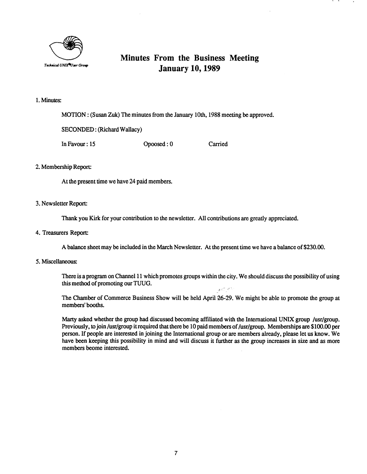

#### **Minutes From the Business Meeting January 10,1989**

#### **1. Minutes:**

**MOTION: (Susan Zuk) The minutes from the January 10th, 1988 meeting be approved.** 

**SECONDED: (Richard Wallacy)** 

**In Favour: 15 Opoosed: 0 Carried** 

#### **2. Membership Report:**

**At the present time we have 24 paid members.** 

#### **3. Newsletter Report:**

**Thank you Kirk for your contribution to the newsletter. All contributions are greatly appreciated.** 

**4. Treasurers Report:** 

**A balance sheet may be included in the March Newsletter. At the present time we have a balance of \$230.00.** 

#### **5. Miscellaneous:**

**There is a program on Channel 11 which promotes groups within the city. We should discuss the possibility of using this method of promoting our TUUG.** 

**The Chamber of Commerce Business Show will be held April 26-29. We might be able to promote the group at members'booths.** 

**Marty asked whether the group had discussed becoming affiliated with the International UNIX group /usr/group.**  Previously, to join /usr/group it required that there be 10 paid members of /usr/group. Memberships are \$100.00 per **person. If people are interested in joining the International group or are members already, please let us know. We**  have been keeping this possibility in mind and will discuss it further as the group increases in size and as more **members beome interested.**